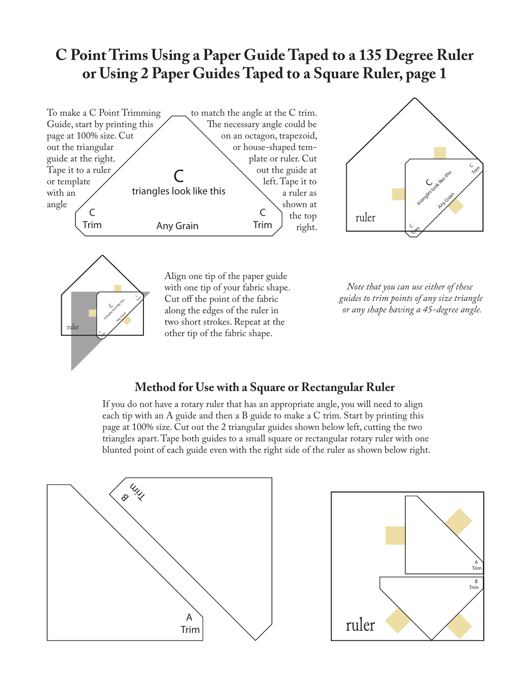## **C Point Trims Using a Paper Guide Taped to a 135 Degree Ruler or Using 2 Paper Guides Taped to a Square Ruler, page 1**







Align one tip of the paper guide with one tip of your fabric shape. Cut off the point of the fabric along the edges of the ruler in two short strokes. Repeat at the other tip of the fabric shape.

*Note that you can use either of these guides to trim points of any size triangle or any shape having a 45-degree angle.*

## **Method for Use with a Square or Rectangular Ruler**

If you do not have a rotary ruler that has an appropriate angle, you will need to align each tip with an A guide and then a B guide to make a C trim. Start by printing this page at 100% size. Cut out the 2 triangular guides shown below left, cutting the two triangles apart. Tape both guides to a small square or rectangular rotary ruler with one blunted point of each guide even with the right side of the ruler as shown below right.